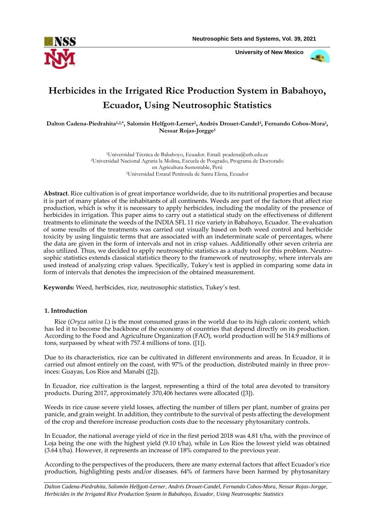

 **University of New Mexico**



# **Herbicides in the Irrigated Rice Production System in Babahoyo, Ecuador, Using Neutrosophic Statistics**

**Dalton Cadena-Piedrahita1,2,\*, Salomón Helfgott-Lerner<sup>2</sup> , Andrés Drouet-Candel<sup>3</sup> , Fernando Cobos-Mora<sup>1</sup> , Nessar Rojas-Jorgge<sup>1</sup>**

> Universidad Técnica de Babahoyo, Ecuador. Email: [pcadena@utb.edu.ec](mailto:pcadena@utb.edu.ec) Universidad Nacional Agraria la Molina, Escuela de Posgrado, Programa de Doctorado en Agricultura Sustentable, Perú Universidad Estatal Península de Santa Elena, Ecuador

**Abstract**. Rice cultivation is of great importance worldwide, due to its nutritional properties and because it is part of many plates of the inhabitants of all continents. Weeds are part of the factors that affect rice production, which is why it is necessary to apply herbicides, including the modality of the presence of herbicides in irrigation. This paper aims to carry out a statistical study on the effectiveness of different treatments to eliminate the weeds of the INDIA SFL 11 rice variety in Babahoyo, Ecuador. The evaluation of some results of the treatments was carried out visually based on both weed control and herbicide toxicity by using linguistic terms that are associated with an indeterminate scale of percentages, where the data are given in the form of intervals and not in crisp values. Additionally other seven criteria are also utilized. Thus, we decided to apply neutrosophic statistics as a study tool for this problem. Neutrosophic statistics extends classical statistics theory to the framework of neutrosophy, where intervals are used instead of analyzing crisp values. Specifically, Tukey's test is applied in comparing some data in form of intervals that denotes the imprecision of the obtained measurement.

**Keywords:** Weed, herbicides, rice, neutrosophic statistics, Tukey's test.

## **1. Introduction**

Rice (*Oryza sativa L*) is the most consumed grass in the world due to its high caloric content, which has led it to become the backbone of the economy of countries that depend directly on its production. According to the Food and Agriculture Organization (FAO), world production will be 514.9 millions of tons, surpassed by wheat with 757.4 millions of tons. ([\[1\]](#page-9-0)).

Due to its characteristics, rice can be cultivated in different environments and areas. In Ecuador, it is carried out almost entirely on the coast, with 97% of the production, distributed mainly in three provinces: Guayas, Los Ríos and Manabí ([\[2\]](#page-9-1)).

In Ecuador, rice cultivation is the largest, representing a third of the total area devoted to transitory products. During 2017, approximately 370,406 hectares were allocated ([\[3\]](#page-9-2)).

Weeds in rice cause severe yield losses, affecting the number of tillers per plant, number of grains per panicle, and grain weight. In addition, they contribute to the survival of pests affecting the development of the crop and therefore increase production costs due to the necessary phytosanitary controls.

In Ecuador, the national average yield of rice in the first period 2018 was 4.81 t/ha, with the province of Loja being the one with the highest yield (9.10 t/ha), while in Los Ríos the lowest yield was obtained (3.64 t/ha). However, it represents an increase of 18% compared to the previous year.

According to the perspectives of the producers, there are many external factors that affect Ecuador's rice production, highlighting pests and/or diseases. 64% of farmers have been harmed by phytosanitary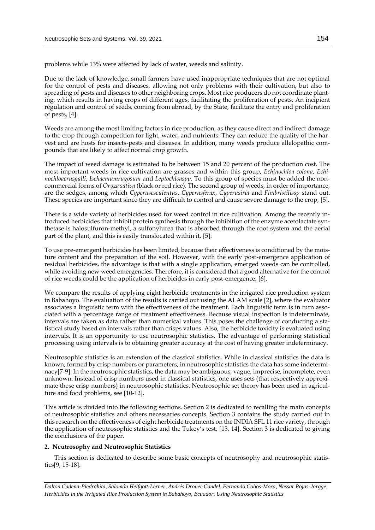problems while 13% were affected by lack of water, weeds and salinity.

Due to the lack of knowledge, small farmers have used inappropriate techniques that are not optimal for the control of pests and diseases, allowing not only problems with their cultivation, but also to spreading of pests and diseases to other neighboring crops. Most rice producers do not coordinate planting, which results in having crops of different ages, facilitating the proliferation of pests. An incipient regulation and control of seeds, coming from abroad, by the State, facilitate the entry and proliferation of pests, [\[4\]](#page-9-3).

Weeds are among the most limiting factors in rice production, as they cause direct and indirect damage to the crop through competition for light, water, and nutrients. They can reduce the quality of the harvest and are hosts for insects-pests and diseases. In addition, many weeds produce allelopathic compounds that are likely to affect normal crop growth.

The impact of weed damage is estimated to be between 15 and 20 percent of the production cost. The most important weeds in rice cultivation are grasses and within this group, *Echinochloa colona*, *Echinochloacrusgalli*, *Ischaemumrugosum* and *Leptochloaspp*. To this group of species must be added the noncommercial forms of *Oryza sativa* (black or red rice). The second group of weeds, in order of importance, are the sedges, among which *Cyperusesculentus*, *Cyperusferax*, *Cyperusiria* and *Fimbristilissp* stand out. These species are important since they are difficult to control and cause severe damage to the crop, [\[5\]](#page-9-4).

There is a wide variety of herbicides used for weed control in rice cultivation. Among the recently introduced herbicides that inhibit protein synthesis through the inhibition of the enzyme acetolactate synthetase is halosulfuron-methyl, a sulfonylurea that is absorbed through the root system and the aerial part of the plant, and this is easily translocated within it, [\[5\]](#page-9-4).

To use pre-emergent herbicides has been limited, because their effectiveness is conditioned by the moisture content and the preparation of the soil. However, with the early post-emergence application of residual herbicides, the advantage is that with a single application, emerged weeds can be controlled, while avoiding new weed emergencies. Therefore, it is considered that a good alternative for the control of rice weeds could be the application of herbicides in early post-emergence, [\[6\]](#page-9-5).

We compare the results of applying eight herbicide treatments in the irrigated rice production system in Babahoyo. The evaluation of the results is carried out using the ALAM scale [\[2\]](#page-9-1), where the evaluator associates a linguistic term with the effectiveness of the treatment. Each linguistic term is in turn associated with a percentage range of treatment effectiveness. Because visual inspection is indeterminate, intervals are taken as data rather than numerical values. This poses the challenge of conducting a statistical study based on intervals rather than crisps values. Also, the herbicide toxicity is evaluated using intervals. It is an opportunity to use neutrosophic statistics. The advantage of performing statistical processing using intervals is to obtaining greater accuracy at the cost of having greater indeterminacy.

Neutrosophic statistics is an extension of the classical statistics. While in classical statistics the data is known, formed by crisp numbers or parameters, in neutrosophic statistics the data has some indeterminacy[\[7-9\]](#page-9-6). In the neutrosophic statistics, the data may be ambiguous, vague, imprecise, incomplete, even unknown. Instead of crisp numbers used in classical statistics, one uses sets (that respectively approximate these crisp numbers) in neutrosophic statistics. Neutrosophic set theory has been used in agriculture and food problems, see [\[10-12\]](#page-9-7).

This article is divided into the following sections. Section 2 is dedicated to recalling the main concepts of neutrosophic statistics and others necessaries concepts. Section 3 contains the study carried out in this research on the effectiveness of eight herbicide treatments on the INDIA SFL 11 rice variety, through the application of neutrosophic statistics and the Tukey's test, [\[13,](#page-9-8) [14\]](#page-9-9). Section 3 is dedicated to giving the conclusions of the paper.

# **2. Neutrosophy and Neutrosophic Statistics**

This section is dedicated to describe some basic concepts of neutrosophy and neutrosophic statistics[\[9,](#page-9-10) [15-18\]](#page-10-0).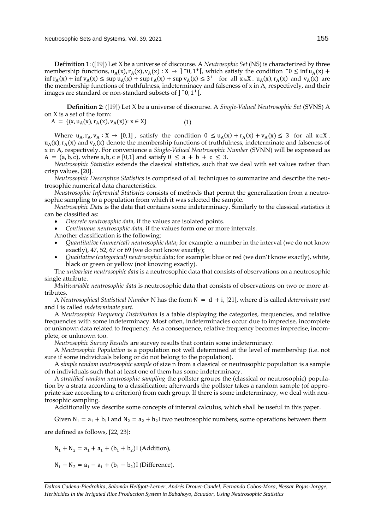**Definition 1**: ([\[19\]](#page-10-1)) Let X be a universe of discourse. A *Neutrosophic Set* (NS) is characterized by three membership functions,  $u_A(x)$ ,  $r_A(x)$ ,  $v_A(x)$ :  $X \to ]-0, 1^+[$ , which satisfy the condition  $-0 \le \inf u_A(x) +$  $\inf r_A(x) + \inf v_A(x) \leq \sup u_A(x) + \sup r_A(x) + \sup v_A(x) \leq 3^+$  for all  $x \in X$ .  $u_A(x), r_A(x)$  and  $v_A(x)$  are the membership functions of truthfulness, indeterminacy and falseness of x in A, respectively, and their images are standard or non-standard subsets of  $]$   $\neg$ 0, 1<sup>+</sup>[ $\Box$ 

**Definition 2**: ([\[19\]](#page-10-1)) Let X be a universe of discourse. A *Single-Valued Neutrosophic Set* (SVNS) A on X is a set of the form:

$$
A = \{ (x, u_A(x), r_A(x), v_A(x)) : x \in X \}
$$
 (1)

Where  $u_A, r_A, v_A : X \to [0,1]$ , satisfy the condition  $0 \le u_A(x) + r_A(x) + v_A(x) \le 3$  for all  $x \in X$ .  $u_A(x)$ ,  $r_A(x)$  and  $v_A(x)$  denote the membership functions of truthfulness, indeterminate and falseness of x in A, respectively. For convenience a *Single-Valued Neutrosophic Number* (SVNN) will be expressed as  $A = (a, b, c)$ , where  $a, b, c \in [0,1]$  and satisfy  $0 \le a + b + c \le 3$ .

*Neutrosophic Statistics* extends the classical statistics, such that we deal with set values rather than crisp values, [\[20\]](#page-10-2).

*Neutrosophic Descriptive Statistics* is comprised of all techniques to summarize and describe the neutrosophic numerical data characteristics.

*Neustrosophic Inferential Statistics* consists of methods that permit the generalization from a neutrosophic sampling to a population from which it was selected the sample.

*Neutrosophic Data* is the data that contains some indeterminacy. Similarly to the classical statistics it can be classified as:

*Discrete neutrosophic data*, if the values are isolated points.

 *Continuous neutrosophic data*, if the values form one or more intervals. Another classification is the following:

- *Quantitative (numerical) neutrosophic data*; for example: a number in the interval (we do not know exactly), 47, 52, 67 or 69 (we do not know exactly);
- *Qualitative (categorical) neutrosophic data*; for example: blue or red (we don't know exactly), white, black or green or yellow (not knowing exactly).

The *univariate neutrosophic data* is a neutrosophic data that consists of observations on a neutrosophic single attribute.

*Multivariable neutrosophic data* is neutrosophic data that consists of observations on two or more attributes.

A *Neutrosophical Statistical Number* N has the form N = d + i, [\[21\]](#page-10-3), where d is called *determinate part* and I is called *indeterminate part*.

A *Neutrosophic Frequency Distribution* is a table displaying the categories, frequencies, and relative frequencies with some indeterminacy. Most often, indeterminacies occur due to imprecise, incomplete or unknown data related to frequency. As a consequence, relative frequency becomes imprecise, incomplete, or unknown too.

*Neutrosophic Survey Results* are survey results that contain some indeterminacy.

A *Neutrosophic Population* is a population not well determined at the level of membership (i.e. not sure if some individuals belong or do not belong to the population).

A *simple random neutrosophic sample* of size n from a classical or neutrosophic population is a sample of n individuals such that at least one of them has some indeterminacy.

A *stratified random neutrosophic sampling* the pollster groups the (classical or neutrosophic) population by a strata according to a classification; afterwards the pollster takes a random sample (of appropriate size according to a criterion) from each group. If there is some indeterminacy, we deal with neutrosophic sampling.

Additionally we describe some concepts of interval calculus, which shall be useful in this paper.

Given  $N_1 = a_1 + b_1 I$  and  $N_2 = a_2 + b_2 I$  two neutrosophic numbers, some operations between them

are defined as follows, [\[22,](#page-10-4) [23\]](#page-10-5):

 $N_1 + N_2 = a_1 + a_1 + (b_1 + b_2)$ I (Addition),

 $N_1 - N_2 = a_1 - a_1 + (b_1 - b_2)$ I (Difference),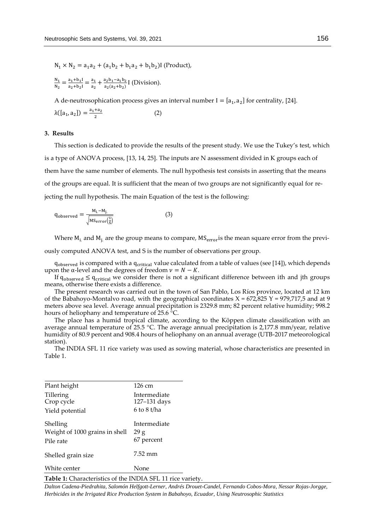$N_1 \times N_2 = a_1a_2 + (a_1b_2 + b_1a_2 + b_1b_2)$ I (Product),

 $N_{1}$  $\frac{N_1}{N_2} = \frac{a_1 + b_1 I}{a_2 + b_2 I}$  $\frac{a_1+b_1I}{a_2+b_2I} = \frac{a_1}{a_2}$  $\frac{a_1}{a_2} + \frac{a_2b_1 - a_1b_2}{a_2(a_2+b_2)}$  $rac{a_2b_1 - a_1b_2}{a_2(a_2+b_2)}$  [ (Division).

A de-neutrosophication process gives an interval number  $I = [a_1, a_2]$  for centrality, [\[24\]](#page-10-6).

$$
\lambda([a_1, a_2]) = \frac{a_1 + a_2}{2} \tag{2}
$$

### **3. Results**

This section is dedicated to provide the results of the present study. We use the Tukey's test, which is a type of ANOVA process, [\[13,](#page-9-8) [14,](#page-9-9) [25\]](#page-10-7). The inputs are N assessment divided in K groups each of them have the same number of elements. The null hypothesis test consists in asserting that the means of the groups are equal. It is sufficient that the mean of two groups are not significantly equal for rejecting the null hypothesis. The main Equation of the test is the following:

$$
q_{\text{observed}} = \frac{M_{\text{i}} - M_{\text{j}}}{\sqrt{M_{\text{Serveror}}\left(\frac{1}{S}\right)}}
$$
(3)

Where  $M_i$  and  $M_i$  are the group means to compare,  $MS_{error}$  is the mean square error from the previ-

ously computed ANOVA test, and S is the number of observations per group.

 $q_{observed}$  is compared with a  $q_{critical}$  value calculated from a table of values (see [\[14\]](#page-9-9)), which depends upon the α-level and the degrees of freedom  $ν = N - K$ .

If  $q_{observed} \leq q_{critical}$  we consider there is not a significant difference between ith and jth groups means, otherwise there exists a difference.

The present research was carried out in the town of San Pablo, Los Ríos province, located at 12 km of the Babahoyo-Montalvo road, with the geographical coordinates  $X = 672,825$  Y = 979,717,5 and at 9 meters above sea level. Average annual precipitation is 2329.8 mm; 82 percent relative humidity; 998.2 hours of heliophany and temperature of 25.6 °C.

The place has a humid tropical climate, according to the Köppen climate classification with an average annual temperature of 25.5 °C. The average annual precipitation is 2,177.8 mm/year, relative humidity of 80.9 percent and 908.4 hours of heliophany on an annual average (UTB-2017 meteorological station).

The INDIA SFL 11 rice variety was used as sowing material, whose characteristics are presented in Table 1.

| Plant height                                                                      | $126 \text{ cm}$                  |
|-----------------------------------------------------------------------------------|-----------------------------------|
| Tillering<br>Crop cycle                                                           | Intermediate<br>127–131 days      |
| Yield potential                                                                   | $6$ to $8$ t/ha                   |
| Shelling<br>Weight of 1000 grains in shell<br>Pile rate                           | Intermediate<br>29g<br>67 percent |
| Shelled grain size                                                                | 7.52 mm                           |
| White center                                                                      | None                              |
| -----<br>$\sim$ $\sim$ $\sim$ $\sim$ $\sim$ $\sim$<br>$\sim$ $\sim$ $\sim$ $\sim$ | <b>TA TENTA</b>                   |

**Table 1:** Characteristics of the INDIA SFL 11 rice variety.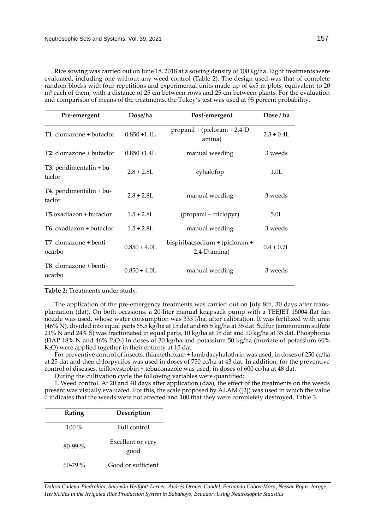Rice sowing was carried out on June 18, 2018 at a sowing density of 100 kg/ha. Eight treatments were evaluated, including one without any weed control (Table 2). The design used was that of complete random blocks with four repetitions and experimental units made up of 4x5 m plots, equivalent to 20 m<sup>2</sup> each of them, with a distance of 25 cm between rows and 25 cm between plants. For the evaluation and comparison of means of the treatments, the Tukey's test was used at 95 percent probability.

| Pre-emergent                      | Dose/ha        | Post-emergent                                  | Dose / ha        |
|-----------------------------------|----------------|------------------------------------------------|------------------|
| <b>T1.</b> clomazone + butaclor   | $0.850 + 1.4L$ | $propani1 + (picloram + 2.4-D)$<br>amina)      | $2.3 + 0.4L$     |
| T2. clomazone + butaclor          | $0.850 + 1.4L$ | manual weeding                                 | 3 weeds          |
| T3. pendimentalin + bu-<br>taclor | $2.8 + 2.8$ L  | cyhalofop                                      | 1.0 <sub>L</sub> |
| T4. pendimentalin + bu-<br>taclor | $2.8 + 2.8L$   | manual weeding                                 | 3 weeds          |
| <b>T5.</b> oxadiazon + butaclor   | $1.5 + 2.8L$   | (propanil + triclopyr)                         | 5.0 <sub>L</sub> |
| <b>T6.</b> oxadiazon + butaclor   | $1.5 + 2.8L$   | manual weeding                                 | 3 weeds          |
| T7. clomazone + benti-<br>ocarbo  | $0.850 + 4.0L$ | bispiribacsodium + (picloram +<br>2,4-D amina) | $0.4 + 0.7L$     |
| T8. clomazone + benti-<br>ocarbo  | $0.850 + 4.0L$ | manual weeding                                 | 3 weeds          |

**Table 2:** Treatments under study.

The application of the pre-emergency treatments was carried out on July 8th, 30 days after transplantation (dat). On both occasions, a 20-liter manual knapsack pump with a TEEJET 15004 flat fan nozzle was used, whose water consumption was 333 l/ha, after calibration. It was fertilized with urea (46% N), divided into equal parts 65.5 kg/ha at 15 dat and 65.5 kg/ha at 35 dat. Sulfur (ammonium sulfate 21% N and 24% S) was fractionated in equal parts, 10 kg/ha at 15 dat and 10 kg/ha at 35 dat. Phosphorus (DAP 18% N and 46% P2O5) in doses of 30 kg/ha and potassium 50 kg/ha (muriate of potassium 60% K2O) were applied together in their entirety at 15 dat.

For preventive control of insects, thiamethoxam + lambdacyhalothrin was used, in doses of 250 cc/ha at 25 dat and then chlorpyrifos was used in doses of 750 cc/ha at 43 dat. In addition, for the preventive control of diseases, trifloxystrobin + tebuconazole was used, in doses of 600 cc/ha at 48 dat.

During the cultivation cycle the following variables were quantified:

1. Weed control. At 20 and 40 days after application (daa), the effect of the treatments on the weeds present was visually evaluated. For this, the scale proposed by ALAM ([\[2\]](#page-9-1)) was used in which the value 0 indicates that the weeds were not affected and 100 that they were completely destroyed, Table 3.

| Rating   | Description               |
|----------|---------------------------|
| 100 $\%$ | Full control              |
| $80-99%$ | Excellent or very<br>good |
| $60-79%$ | Good or sufficient        |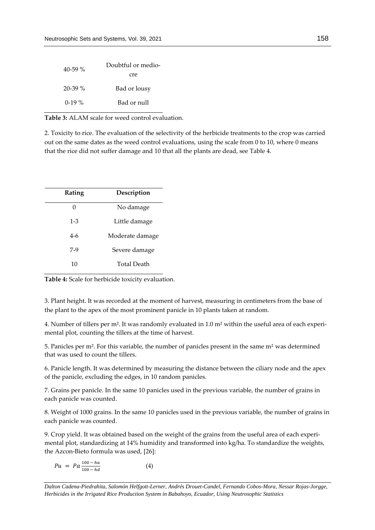| $40 - 59\%$  | Doubtful or medio-<br>cre |
|--------------|---------------------------|
| $20 - 39 \%$ | Bad or lousy              |
| $0-19\%$     | Bad or null               |

**Table 3:** ALAM scale for weed control evaluation.

2. Toxicity to rice. The evaluation of the selectivity of the herbicide treatments to the crop was carried out on the same dates as the weed control evaluations, using the scale from 0 to 10, where 0 means that the rice did not suffer damage and 10 that all the plants are dead, see Table 4.

| Rating   | Description        |
|----------|--------------------|
| $\Omega$ | No damage          |
| $1 - 3$  | Little damage      |
| $4-6$    | Moderate damage    |
| 7-9      | Severe damage      |
| 10       | <b>Total Death</b> |

**Table 4:** Scale for herbicide toxicity evaluation.

3. Plant height. It was recorded at the moment of harvest, measuring in centimeters from the base of the plant to the apex of the most prominent panicle in 10 plants taken at random.

4. Number of tillers per m². It was randomly evaluated in 1.0 m² within the useful area of each experimental plot, counting the tillers at the time of harvest.

5. Panicles per m². For this variable, the number of panicles present in the same m² was determined that was used to count the tillers.

6. Panicle length. It was determined by measuring the distance between the ciliary node and the apex of the panicle, excluding the edges, in 10 random panicles.

7. Grains per panicle. In the same 10 panicles used in the previous variable, the number of grains in each panicle was counted.

8. Weight of 1000 grains. In the same 10 panicles used in the previous variable, the number of grains in each panicle was counted.

9. Crop yield. It was obtained based on the weight of the grains from the useful area of each experimental plot, standardizing at 14% humidity and transformed into kg/ha. To standardize the weights, the Azcon-Bieto formula was used, [\[26\]](#page-10-8):

$$
Pu = Pa \frac{100 - ha}{100 - hd} \tag{4}
$$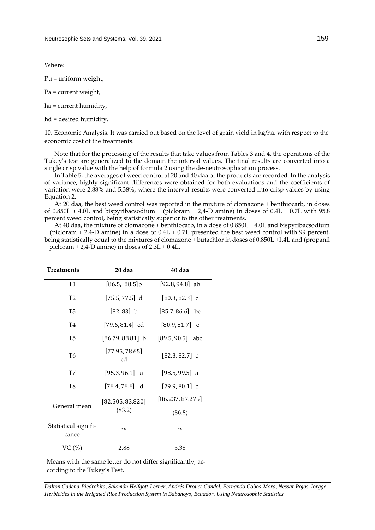Where:

Pu = uniform weight,

Pa = current weight,

ha = current humidity,

hd = desired humidity.

10. Economic Analysis. It was carried out based on the level of grain yield in kg/ha, with respect to the economic cost of the treatments.

Note that for the processing of the results that take values from Tables 3 and 4, the operations of the Tukey's test are generalized to the domain the interval values. The final results are converted into a single crisp value with the help of formula 2 using the de-neutrosophication process.

In Table 5, the averages of weed control at 20 and 40 daa of the products are recorded. In the analysis of variance, highly significant differences were obtained for both evaluations and the coefficients of variation were 2.88% and 5.38%, where the interval results were converted into crisp values by using Equation 2.

At 20 daa, the best weed control was reported in the mixture of clomazone + benthiocarb, in doses of  $0.850L + 4.0L$  and bispyribacsodium + (picloram + 2,4-D amine) in doses of  $0.4L + 0.7L$  with 95.8 percent weed control, being statistically superior to the other treatments.

At 40 daa, the mixture of clomazone + benthiocarb, in a dose of 0.850L + 4.0L and bispyribacsodium + (picloram + 2,4-D amine) in a dose of 0.4L + 0.7L presented the best weed control with 99 percent, being statistically equal to the mixtures of clomazone + butachlor in doses of 0.850L +1.4L and (propanil + picloram + 2,4-D amine) in doses of 2.3L + 0.4L.

| <b>Treatments</b>             | 20 daa                     | 40 daa             |
|-------------------------------|----------------------------|--------------------|
| Τ1                            | [86.5, 88.5]b              | $[92.8, 94.8]$ ab  |
| T <sub>2</sub>                | $[75.5, 77.5]$ d           | $[80.3, 82.3]$ c   |
| T <sub>3</sub>                | $[82, 83]$ b               | $[85.7, 86.6]$ bc  |
| T4                            | $[79.6, 81.4]$ cd          | $[80.9, 81.7]$ c   |
| T5                            | $[86.79, 88.81]$ b         | $[89.5, 90.5]$ abc |
| T <sub>6</sub>                | [77.95, 78.65]<br>cd       | $[82.3, 82.7]$ c   |
| T7                            | $[95.3, 96.1]$ a           | $[98.5, 99.5]$ a   |
| T <sub>8</sub>                | $[76.4, 76.6]$ d           | $[79.9, 80.1]$ c   |
|                               | [82.505, 83.820]<br>(83.2) | [86.237, 87.275]   |
| General mean                  |                            | (86.8)             |
| Statistical signifi-<br>cance | $**$                       | **                 |
| VC (%)                        | 2.88                       | 5.38               |

Means with the same letter do not differ significantly, according to the Tukey's Test.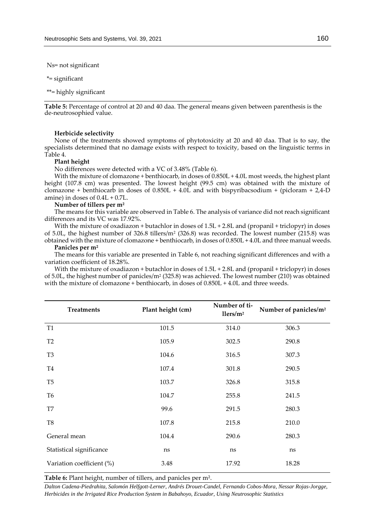Ns= not significant

\*= significant

\*\*= highly significant

**Table 5:** Percentage of control at 20 and 40 daa. The general means given between parenthesis is the de-neutrosophied value.

## **Herbicide selectivity**

None of the treatments showed symptoms of phytotoxicity at 20 and 40 daa. That is to say, the specialists determined that no damage exists with respect to toxicity, based on the linguistic terms in Table 4.

## **Plant height**

No differences were detected with a VC of 3.48% (Table 6).

With the mixture of clomazone + benthiocarb, in doses of  $0.850L + 4.0L$  most weeds, the highest plant height (107.8 cm) was presented. The lowest height (99.5 cm) was obtained with the mixture of clomazone + benthiocarb in doses of  $0.850L + 4.0L$  and with bispyribacsodium + (picloram + 2,4-D) amine) in doses of  $0.4L + 0.7L$ .

**Number of tillers per m²**

The means for this variable are observed in Table 6. The analysis of variance did not reach significant differences and its VC was 17.92%.

With the mixture of oxadiazon + butachlor in doses of 1.5L + 2.8L and (propanil + triclopyr) in doses of 5.0L, the highest number of 326.8 tillers/ $m^2$  (326.8) was recorded. The lowest number (215.8) was obtained with the mixture of clomazone + benthiocarb, in doses of 0.850L + 4.0L and three manual weeds.

#### **Panicles per m²**

The means for this variable are presented in Table 6, not reaching significant differences and with a variation coefficient of 18.28%.

With the mixture of oxadiazon + butachlor in doses of 1.5L + 2.8L and (propanil + triclopyr) in doses of 5.0L, the highest number of panicles/ $m^2$  (325.8) was achieved. The lowest number (210) was obtained with the mixture of clomazone + benthiocarb, in doses of 0.850L + 4.0L and three weeds.

| <b>Treatments</b>         | Plant height (cm) | Number of ti-<br>llers/m <sup>2</sup> | Number of panicles/m <sup>2</sup> |
|---------------------------|-------------------|---------------------------------------|-----------------------------------|
| <b>T1</b>                 | 101.5             | 314.0                                 | 306.3                             |
| T <sub>2</sub>            | 105.9             | 302.5                                 | 290.8                             |
| T <sub>3</sub>            | 104.6             | 316.5                                 | 307.3                             |
| T <sub>4</sub>            | 107.4             | 301.8                                 | 290.5                             |
| T <sub>5</sub>            | 103.7             | 326.8                                 | 315.8                             |
| T <sub>6</sub>            | 104.7             | 255.8                                 | 241.5                             |
| T7                        | 99.6              | 291.5                                 | 280.3                             |
| T <sub>8</sub>            | 107.8             | 215.8                                 | 210.0                             |
| General mean              | 104.4             | 290.6                                 | 280.3                             |
| Statistical significance  | ns                | ns                                    | ns                                |
| Variation coefficient (%) | 3.48              | 17.92                                 | 18.28                             |

**Table 6:** Plant height, number of tillers, and panicles per m².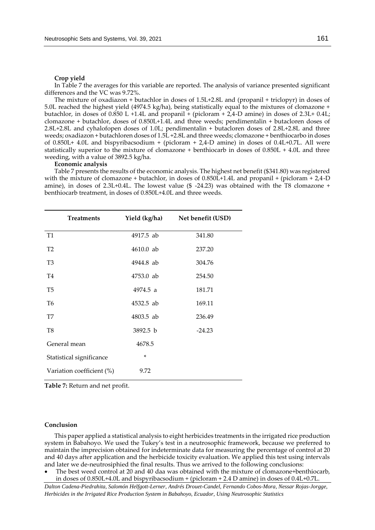#### **Crop yield**

In Table 7 the averages for this variable are reported. The analysis of variance presented significant differences and the VC was 9.72%.

The mixture of oxadiazon + butachlor in doses of 1.5L+2.8L and (propanil + triclopyr) in doses of 5.0L reached the highest yield (4974.5 kg/ha), being statistically equal to the mixtures of clomazone + butachlor, in doses of 0.850 L +1.4L and propanil + (picloram + 2,4-D amine) in doses of 2.3L+ 0.4L; clomazone + butachlor, doses of 0.850L+1.4L and three weeds; pendimentalin + butacloren doses of 2.8L+2.8L and cyhalofopen doses of 1.0L; pendimentalin + butacloren doses of 2.8L+2.8L and three weeds; oxadiazon + butachloren doses of 1.5L +2.8L and three weeds; clomazone + benthiocarbo in doses of 0.850L+ 4.0L and bispyribacsodium + (picloram + 2,4-D amine) in doses of 0.4L+0.7L. All were statistically superior to the mixture of clomazone + benthiocarb in doses of 0.850L + 4.0L and three weeding, with a value of 3892.5 kg/ha.

#### **Economic analysis**

Table 7 presents the results of the economic analysis. The highest net benefit (\$341.80) was registered with the mixture of clomazone + butachlor, in doses of  $0.850L+1.4L$  and propanil + (picloram + 2,4-D) amine), in doses of 2.3L+0.4L. The lowest value (\$ -24.23) was obtained with the T8 clomazone + benthiocarb treatment, in doses of 0.850L+4.0L and three weeds.

| <b>Treatments</b>         | Yield (kg/ha) | Net benefit (USD) |
|---------------------------|---------------|-------------------|
| T1                        | 4917.5 ab     | 341.80            |
| T <sub>2</sub>            | $4610.0$ ab   | 237.20            |
| T <sub>3</sub>            | 4944.8 ab     | 304.76            |
| T4                        | 4753.0 ab     | 254.50            |
| T5                        | 4974.5 a      | 181.71            |
| T <sub>6</sub>            | 4532.5 ab     | 169.11            |
| T7                        | 4803.5 ab     | 236.49            |
| T8                        | 3892.5 b      | $-24.23$          |
| General mean              | 4678.5        |                   |
| Statistical significance  | ×             |                   |
| Variation coefficient (%) | 9.72          |                   |

**Table 7:** Return and net profit.

#### **Conclusion**

This paper applied a statistical analysis to eight herbicides treatments in the irrigated rice production system in Babahoyo. We used the Tukey's test in a neutrosophic framework, because we preferred to maintain the imprecision obtained for indeterminate data for measuring the percentage of control at 20 and 40 days after application and the herbicide toxicity evaluation. We applied this test using intervals and later we de-neutrosiphied the final results. Thus we arrived to the following conclusions:

 The best weed control at 20 and 40 daa was obtained with the mixture of clomazone+benthiocarb, in doses of 0.850L+4.0L and bispyribacsodium + (picloram + 2.4 D amine) in doses of 0.4L+0.7L.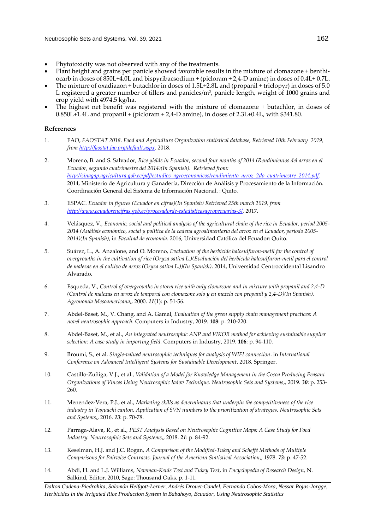- Phytotoxicity was not observed with any of the treatments.
- Plant height and grains per panicle showed favorable results in the mixture of clomazone + benthiocarb in doses of 850L+4.0L and bispyribacsodium + (picloram + 2,4-D amine) in doses of 0.4L+ 0.7L.
- The mixture of oxadiazon + butachlor in doses of 1.5L+2.8L and (propanil + triclopyr) in doses of 5.0 L registered a greater number of tillers and panicles/m<sup>2</sup> , panicle length, weight of 1000 grains and crop yield with 4974.5 kg/ha.
- The highest net benefit was registered with the mixture of clomazone + butachlor, in doses of  $0.850L+1.4L$  and propanil + (picloram + 2,4-D amine), in doses of 2.3L+0.4L, with \$341.80.

## **References**

- <span id="page-9-0"></span>1. FAO, *FAOSTAT 2018. Food and Agriculture Organization statistical database, Retrieved 10th February 2019, from<http://faostat.fao.org/default.aspx>*. 2018.
- <span id="page-9-1"></span>2. Moreno, B. and S. Salvador, *Rice yields in Ecuador, second four months of 2014 (Rendimientos del arroz en el Ecuador, segundo cuatrimestre del 2014)(In Spanish). Retrieved from: [http://sinagap.agricultura.gob.ec/pdf/estudios\\_agroeconomicos/rendimiento\\_arroz\\_2do\\_cuatrimestre\\_2014.pdf](http://sinagap.agricultura.gob.ec/pdf/estudios_agroeconomicos/rendimiento_arroz_2do_cuatrimestre_2014.pdf)*. 2014, Ministerio de Agricultura y Ganadería, Dirección de Análisis y Procesamiento de la Información. Coordinación General del Sistema de Información Nacional. : Quito.
- <span id="page-9-2"></span>3. ESPAC. *Ecuador in figures (Ecuador en cifras)(In Spanish) Retrieved 25th march 2019, from [http://www.ecuadorencifras.gob.ec/procesadorde-estadisticasagropecuarias-3/.](http://www.ecuadorencifras.gob.ec/procesadorde-estadisticasagropecuarias-3/)* 2017.
- <span id="page-9-3"></span>4. Velásquez, V., *Economic, social and political analysis of the agricultural chain of the rice in Ecuador, period 2005- 2014 (Análisis económico, social y política de la cadena agroalimentaria del arroz en el Ecuador, periodo 2005- 2014)(In Spanish)*, in *Facultad de economía*. 2016, Universidad Católica del Ecuador: Quito.
- <span id="page-9-4"></span>5. Suárez, L., A. Anzalone, and O. Moreno, *Evaluation of the herbicide halosulfuron-metil for the control of overgrowths in the cultivation of rice (Oryza sativa L.)(Evaluación del herbicida halosulfuron-metil para el control de malezas en el cultivo de arroz (Oryza sativa L.))(In Spanish)*. 2014, Universidad Centroccidental Lisandro Alvarado.
- <span id="page-9-5"></span>6. Esqueda, V., *Control of overgrowths in storm rice with only clomazone and in mixture with propanil and 2,4-D (Control de malezas en arroz de temporal con clomazone solo y en mezcla con propanil y 2,4-D)(In Spanish). Agronomía Mesoamericana*,, 2000. *11*(1): p. 51-56.
- <span id="page-9-6"></span>7. Abdel-Baset, M., V. Chang, and A. Gamal, *Evaluation of the green supply chain management practices: A novel neutrosophic approach.* Computers in Industry, 2019. **108**: p. 210-220.
- 8. Abdel-Baset, M., et al., *An integrated neutrosophic ANP and VIKOR method for achieving sustainable supplier selection: A case study in importing field.* Computers in Industry, 2019. **106**: p. 94-110.
- <span id="page-9-10"></span>9. Broumi, S., et al. *Single-valued neutrosophic techniques for analysis of WIFI connection*. in *International Conference on Advanced Intelligent Systems for Sustainable Development*. 2018. Springer.
- <span id="page-9-7"></span>10. Castillo-Zuñiga, V.J., et al., *Validation of a Model for Knowledge Management in the Cocoa Producing Peasant Organizations of Vinces Using Neutrosophic Iadov Technique. Neutrosophic Sets and Systems*,, 2019. *30*: p. 253- 260.
- 11. Menendez-Vera, P.J., et al., *Marketing skills as determinants that underpin the competitiveness of the rice industry in Yaguachi canton. Application of SVN numbers to the prioritization of strategies. Neutrosophic Sets and Systems*,, 2016. *13*: p. 70-78.
- 12. Parraga-Alava, R., et al., *PEST Analysis Based on Neutrosophic Cognitive Maps: A Case Study for Food Industry. Neutrosophic Sets and Systems*,, 2018. *21*: p. 84-92.
- <span id="page-9-8"></span>13. Keselman, H.J. and J.C. Rogan, *A Comparison of the Modified-Tukey and Scheffé Methods of Multiple Comparisons for Pairwise Contrasts. Journal of the American Statistical Association*,, 1978. *73*: p. 47-52.
- <span id="page-9-9"></span>14. Abdi, H. and L.J. Williams, *Newman-Keuls Test and Tukey Test*, in *Encyclopedia of Research Design*, N. Salkind, Editor. 2010, Sage: Thousand Oaks. p. 1-11.